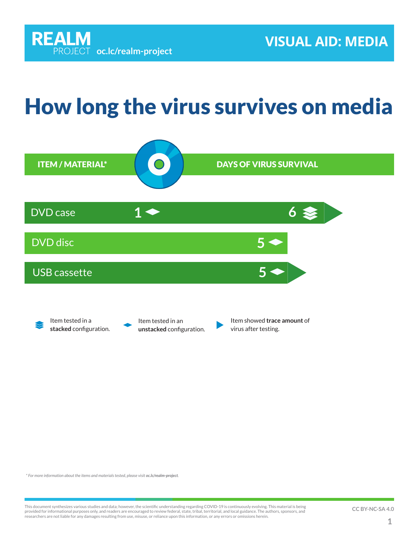## How long the virus survives on media



*\* For more information about the items and materials tested, please visit [oc.lc/realm-project](http://oc.lc/realm-project).*